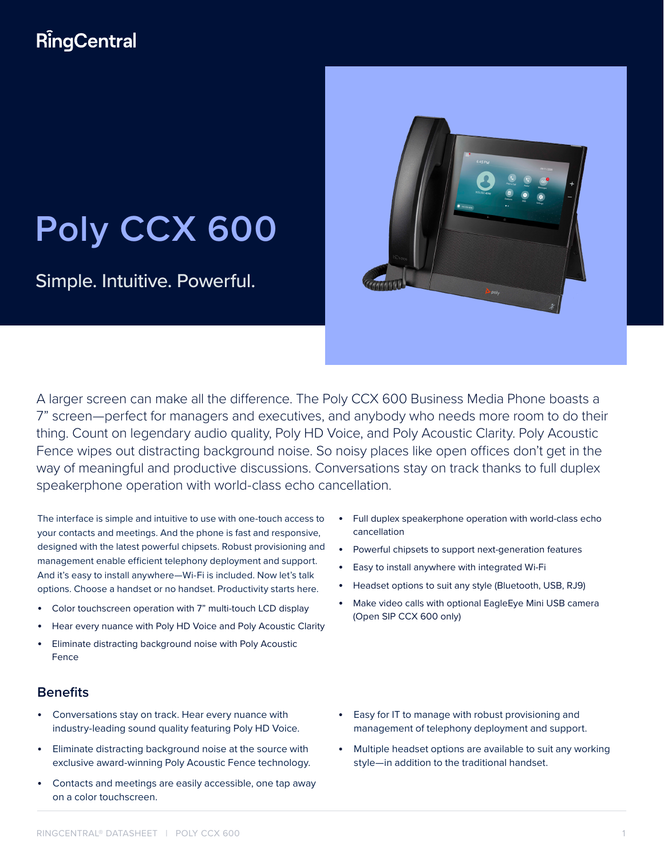# **RingCentral**

# **Poly CCX 600**

Simple. Intuitive. Powerful.

A larger screen can make all the difference. The Poly CCX 600 Business Media Phone boasts a 7" screen—perfect for managers and executives, and anybody who needs more room to do their thing. Count on legendary audio quality, Poly HD Voice, and Poly Acoustic Clarity. Poly Acoustic Fence wipes out distracting background noise. So noisy places like open offices don't get in the way of meaningful and productive discussions. Conversations stay on track thanks to full duplex speakerphone operation with world-class echo cancellation.

The interface is simple and intuitive to use with one-touch access to your contacts and meetings. And the phone is fast and responsive, designed with the latest powerful chipsets. Robust provisioning and management enable efficient telephony deployment and support. And it's easy to install anywhere—Wi-Fi is included. Now let's talk options. Choose a handset or no handset. Productivity starts here.

- Color touchscreen operation with 7" multi-touch LCD display
- Hear every nuance with Poly HD Voice and Poly Acoustic Clarity
- Eliminate distracting background noise with Poly Acoustic Fence

### **Benefits**

- Conversations stay on track. Hear every nuance with industry-leading sound quality featuring Poly HD Voice.
- Eliminate distracting background noise at the source with exclusive award-winning Poly Acoustic Fence technology.
- Contacts and meetings are easily accessible, one tap away on a color touchscreen.
- Full duplex speakerphone operation with world-class echo cancellation
- Powerful chipsets to support next-generation features
- Easy to install anywhere with integrated Wi-Fi
- Headset options to suit any style (Bluetooth, USB, RJ9)
- Make video calls with optional EagleEye Mini USB camera (Open SIP CCX 600 only)

- Easy for IT to manage with robust provisioning and management of telephony deployment and support.
- Multiple headset options are available to suit any working style—in addition to the traditional handset.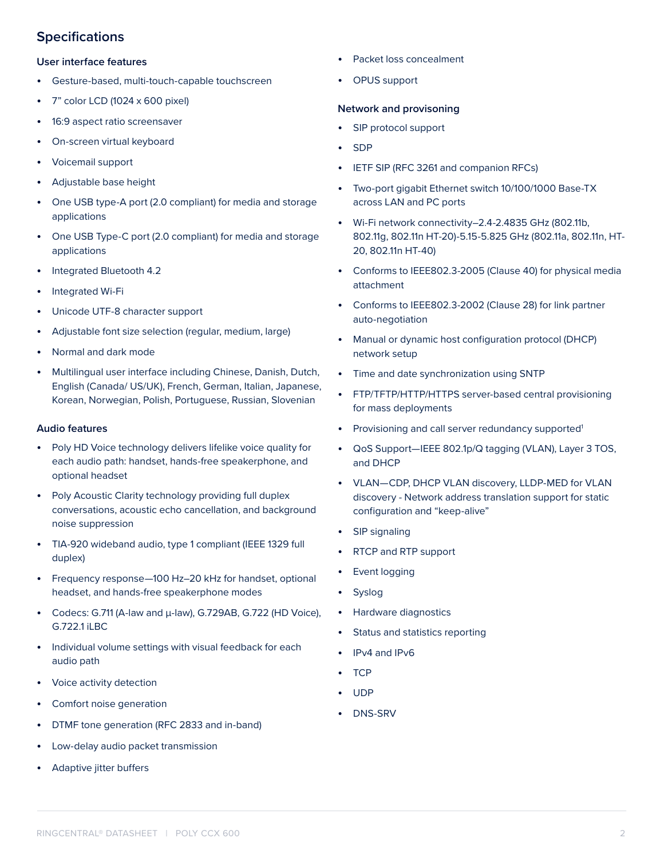## **Specifications**

#### **User interface features**

- Gesture-based, multi-touch-capable touchscreen
- 7" color LCD (1024 x 600 pixel)
- 16:9 aspect ratio screensaver
- On-screen virtual keyboard
- Voicemail support
- Adjustable base height
- One USB type-A port (2.0 compliant) for media and storage applications
- One USB Type-C port (2.0 compliant) for media and storage applications
- Integrated Bluetooth 4.2
- Integrated Wi-Fi
- Unicode UTF-8 character support
- Adjustable font size selection (regular, medium, large)
- Normal and dark mode
- Multilingual user interface including Chinese, Danish, Dutch, English (Canada/ US/UK), French, German, Italian, Japanese, Korean, Norwegian, Polish, Portuguese, Russian, Slovenian

#### **Audio features**

- Poly HD Voice technology delivers lifelike voice quality for each audio path: handset, hands-free speakerphone, and optional headset
- Poly Acoustic Clarity technology providing full duplex conversations, acoustic echo cancellation, and background noise suppression
- TIA-920 wideband audio, type 1 compliant (IEEE 1329 full duplex)
- Frequency response—100 Hz–20 kHz for handset, optional headset, and hands-free speakerphone modes
- Codecs: G.711 (A-law and μ-law), G.729AB, G.722 (HD Voice), G.722.1 iLBC
- Individual volume settings with visual feedback for each audio path
- Voice activity detection
- Comfort noise generation
- DTMF tone generation (RFC 2833 and in-band)
- Low-delay audio packet transmission
- Adaptive jitter buffers
- Packet loss concealment
- OPUS support

#### **Network and provisoning**

- SIP protocol support
- SDP
- IETF SIP (RFC 3261 and companion RFCs)
- Two-port gigabit Ethernet switch 10/100/1000 Base-TX across LAN and PC ports
- Wi-Fi network connectivity–2.4-2.4835 GHz (802.11b, 802.11g, 802.11n HT-20)-5.15-5.825 GHz (802.11a, 802.11n, HT-20, 802.11n HT-40)
- Conforms to IEEE802.3-2005 (Clause 40) for physical media attachment
- Conforms to IEEE802.3-2002 (Clause 28) for link partner auto-negotiation
- Manual or dynamic host configuration protocol (DHCP) network setup
- Time and date synchronization using SNTP
- FTP/TFTP/HTTP/HTTPS server-based central provisioning for mass deployments
- Provisioning and call server redundancy supported<sup>1</sup>
- QoS Support—IEEE 802.1p/Q tagging (VLAN), Layer 3 TOS, and DHCP
- VLAN—CDP, DHCP VLAN discovery, LLDP-MED for VLAN discovery - Network address translation support for static configuration and "keep-alive"
- SIP signaling
- RTCP and RTP support
- Event logging
- Syslog
- Hardware diagnostics
- Status and statistics reporting
- IPv4 and IPv6
- TCP
- UDP
- DNS-SRV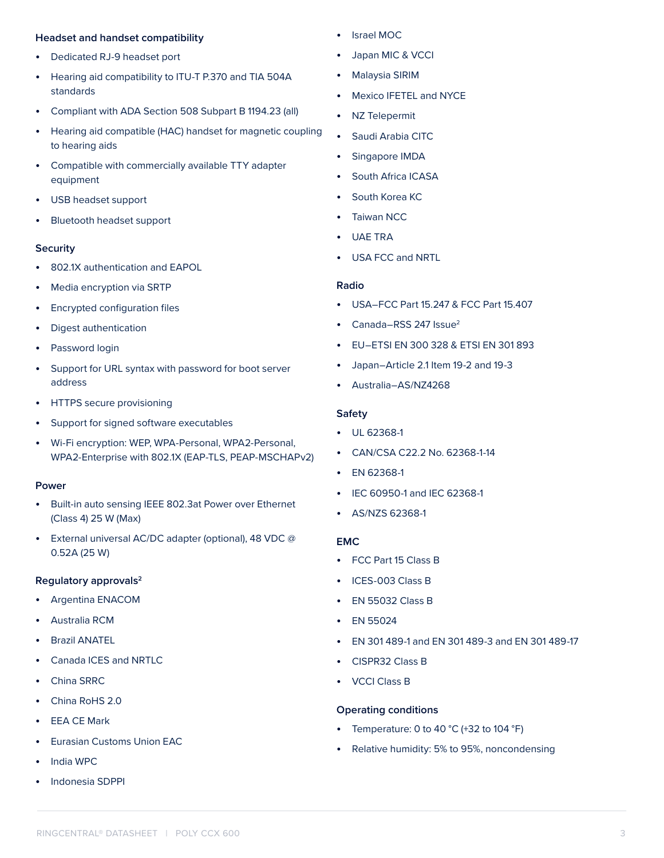#### **Headset and handset compatibility**

- Dedicated RJ-9 headset port
- Hearing aid compatibility to ITU-T P.370 and TIA 504A standards
- Compliant with ADA Section 508 Subpart B 1194.23 (all)
- Hearing aid compatible (HAC) handset for magnetic coupling to hearing aids
- Compatible with commercially available TTY adapter equipment
- USB headset support
- Bluetooth headset support

#### **Security**

- 802.1X authentication and EAPOL
- Media encryption via SRTP
- Encrypted configuration files
- Digest authentication
- Password login
- Support for URL syntax with password for boot server address
- HTTPS secure provisioning
- Support for signed software executables
- Wi-Fi encryption: WEP, WPA-Personal, WPA2-Personal, WPA2-Enterprise with 802.1X (EAP-TLS, PEAP-MSCHAPv2)

#### **Power**

- Built-in auto sensing IEEE 802.3at Power over Ethernet (Class 4) 25 W (Max)
- External universal AC/DC adapter (optional), 48 VDC @ 0.52A (25 W)

#### **Regulatory approvals2**

- Argentina ENACOM
- Australia RCM
- Brazil ANATEL
- Canada ICES and NRTLC
- China SRRC
- China RoHS 2.0
- **EEA CE Mark**
- Eurasian Customs Union EAC
- India WPC
- Indonesia SDPPI
- Israel MOC
- Japan MIC & VCCI
- Malaysia SIRIM
- Mexico IFETEL and NYCE
- NZ Telepermit
- Saudi Arabia CITC
- Singapore IMDA
- South Africa ICASA
- South Korea KC
- Taiwan NCC
- UAE TRA
- USA FCC and NRTL

#### **Radio**

- USA–FCC Part 15.247 & FCC Part 15.407
- Canada–RSS 247 Issue<sup>2</sup>
- EU–ETSI EN 300 328 & ETSI EN 301 893
- Japan–Article 2.1 Item 19-2 and 19-3
- Australia–AS/NZ4268

#### **Safety**

- UL 62368-1
- CAN/CSA C22.2 No. 62368-1-14
- EN 62368-1
- IEC 60950-1 and IEC 62368-1
- AS/NZS 62368-1

#### **EMC**

- FCC Part 15 Class B
- ICES-003 Class B
- EN 55032 Class B
- EN 55024
- EN 301 489-1 and EN 301 489-3 and EN 301 489-17
- CISPR32 Class B
- VCCI Class B

#### **Operating conditions**

- Temperature: 0 to 40  $^{\circ}$ C (+32 to 104  $^{\circ}$ F)
- Relative humidity: 5% to 95%, noncondensing